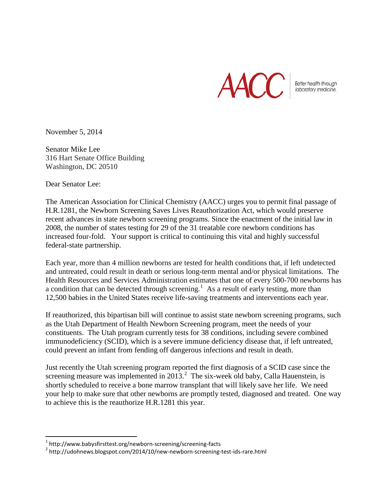

Better health through Iaboratory medicine.

November 5, 2014

Senator Mike Lee 316 Hart Senate Office Building Washington, DC 20510

Dear Senator Lee:

The American Association for Clinical Chemistry (AACC) urges you to permit final passage of H.R.1281, the Newborn Screening Saves Lives Reauthorization Act, which would preserve recent advances in state newborn screening programs. Since the enactment of the initial law in 2008, the number of states testing for 29 of the 31 treatable core newborn conditions has increased four-fold. Your support is critical to continuing this vital and highly successful federal-state partnership.

Each year, more than 4 million newborns are tested for health conditions that, if left undetected and untreated, could result in death or serious long-term mental and/or physical limitations. The Health Resources and Services Administration estimates that one of every 500-700 newborns has a condition that can be detected through screening.<sup>[1](#page-0-0)</sup> As a result of early testing, more than 12,500 babies in the United States receive life-saving treatments and interventions each year.

If reauthorized, this bipartisan bill will continue to assist state newborn screening programs, such as the Utah Department of Health Newborn Screening program, meet the needs of your constituents. The Utah program currently tests for 38 conditions, including severe combined immunodeficiency (SCID), which is a severe immune deficiency disease that, if left untreated, could prevent an infant from fending off dangerous infections and result in death.

Just recently the Utah screening program reported the first diagnosis of a SCID case since the screening measure was implemented in  $2013.<sup>2</sup>$  $2013.<sup>2</sup>$  The six-week old baby, Calla Hauenstein, is shortly scheduled to receive a bone marrow transplant that will likely save her life. We need your help to make sure that other newborns are promptly tested, diagnosed and treated. One way to achieve this is the reauthorize H.R.1281 this year.

<span id="page-0-1"></span>

<span id="page-0-0"></span><sup>&</sup>lt;sup>1</sup> http://www.babysfirsttest.org/newborn-screening/screening-facts<br><sup>2</sup> http://udohnews.blogspot.com/2014/10/new-newborn-screening-test-ids-rare.html